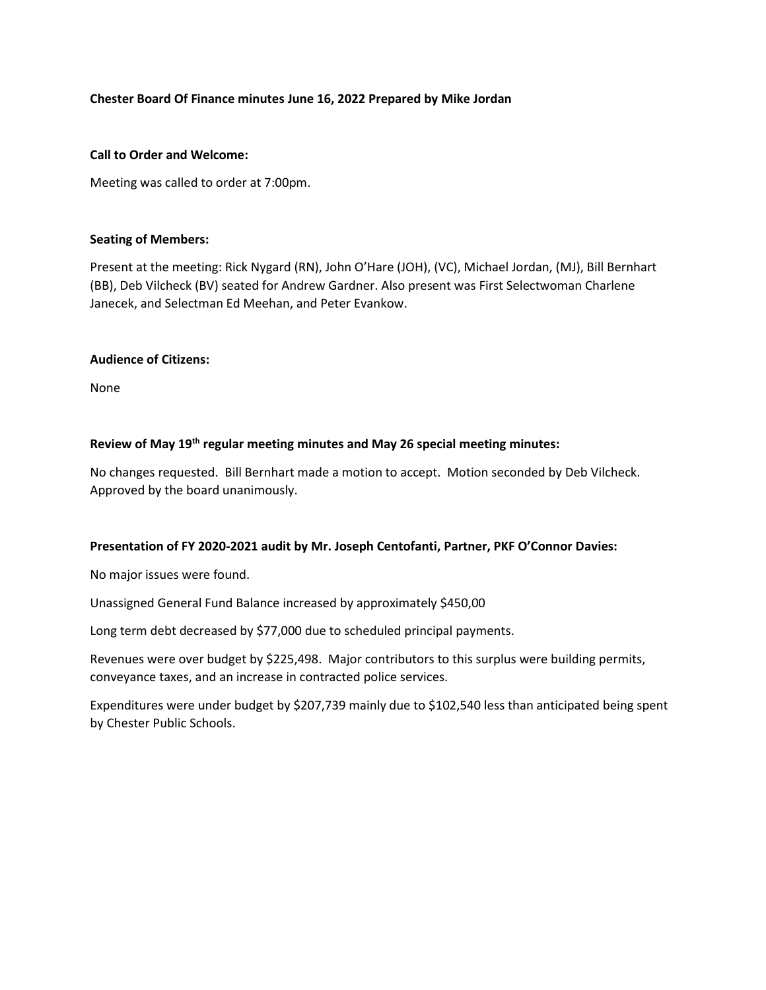# **Chester Board Of Finance minutes June 16, 2022 Prepared by Mike Jordan**

### **Call to Order and Welcome:**

Meeting was called to order at 7:00pm.

### **Seating of Members:**

Present at the meeting: Rick Nygard (RN), John O'Hare (JOH), (VC), Michael Jordan, (MJ), Bill Bernhart (BB), Deb Vilcheck (BV) seated for Andrew Gardner. Also present was First Selectwoman Charlene Janecek, and Selectman Ed Meehan, and Peter Evankow.

### **Audience of Citizens:**

None

# **Review of May 19th regular meeting minutes and May 26 special meeting minutes:**

No changes requested. Bill Bernhart made a motion to accept. Motion seconded by Deb Vilcheck. Approved by the board unanimously.

# **Presentation of FY 2020-2021 audit by Mr. Joseph Centofanti, Partner, PKF O'Connor Davies:**

No major issues were found.

Unassigned General Fund Balance increased by approximately \$450,00

Long term debt decreased by \$77,000 due to scheduled principal payments.

Revenues were over budget by \$225,498. Major contributors to this surplus were building permits, conveyance taxes, and an increase in contracted police services.

Expenditures were under budget by \$207,739 mainly due to \$102,540 less than anticipated being spent by Chester Public Schools.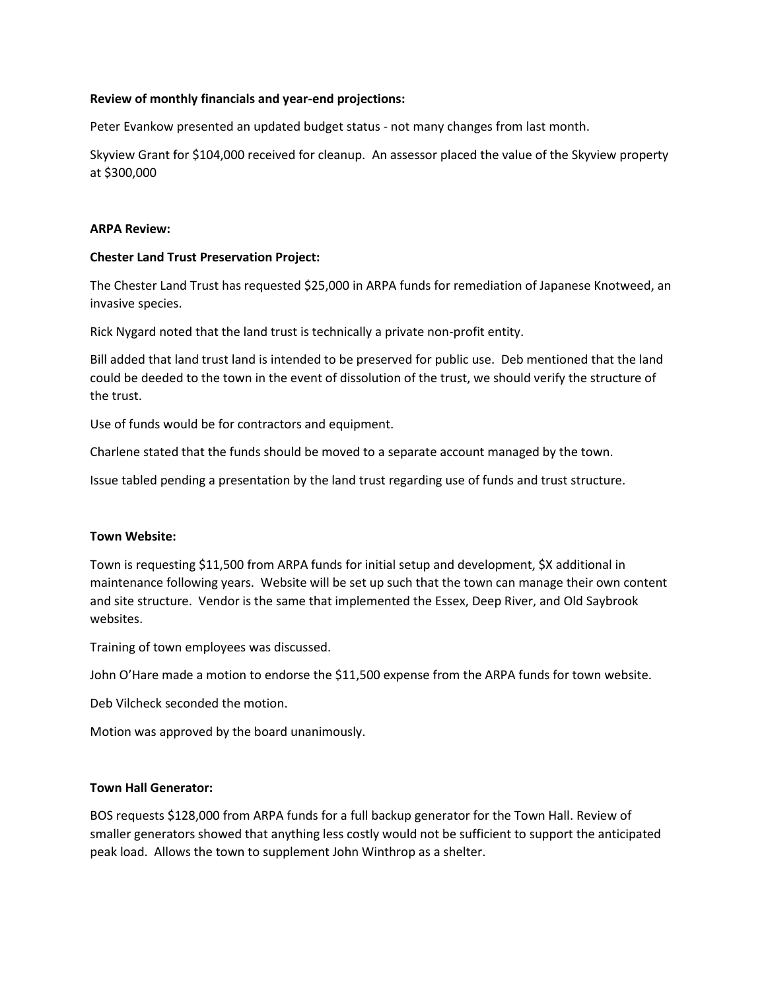### **Review of monthly financials and year-end projections:**

Peter Evankow presented an updated budget status - not many changes from last month.

Skyview Grant for \$104,000 received for cleanup. An assessor placed the value of the Skyview property at \$300,000

#### **ARPA Review:**

### **Chester Land Trust Preservation Project:**

The Chester Land Trust has requested \$25,000 in ARPA funds for remediation of Japanese Knotweed, an invasive species.

Rick Nygard noted that the land trust is technically a private non-profit entity.

Bill added that land trust land is intended to be preserved for public use. Deb mentioned that the land could be deeded to the town in the event of dissolution of the trust, we should verify the structure of the trust.

Use of funds would be for contractors and equipment.

Charlene stated that the funds should be moved to a separate account managed by the town.

Issue tabled pending a presentation by the land trust regarding use of funds and trust structure.

#### **Town Website:**

Town is requesting \$11,500 from ARPA funds for initial setup and development, \$X additional in maintenance following years. Website will be set up such that the town can manage their own content and site structure. Vendor is the same that implemented the Essex, Deep River, and Old Saybrook websites.

Training of town employees was discussed.

John O'Hare made a motion to endorse the \$11,500 expense from the ARPA funds for town website.

Deb Vilcheck seconded the motion.

Motion was approved by the board unanimously.

#### **Town Hall Generator:**

BOS requests \$128,000 from ARPA funds for a full backup generator for the Town Hall. Review of smaller generators showed that anything less costly would not be sufficient to support the anticipated peak load. Allows the town to supplement John Winthrop as a shelter.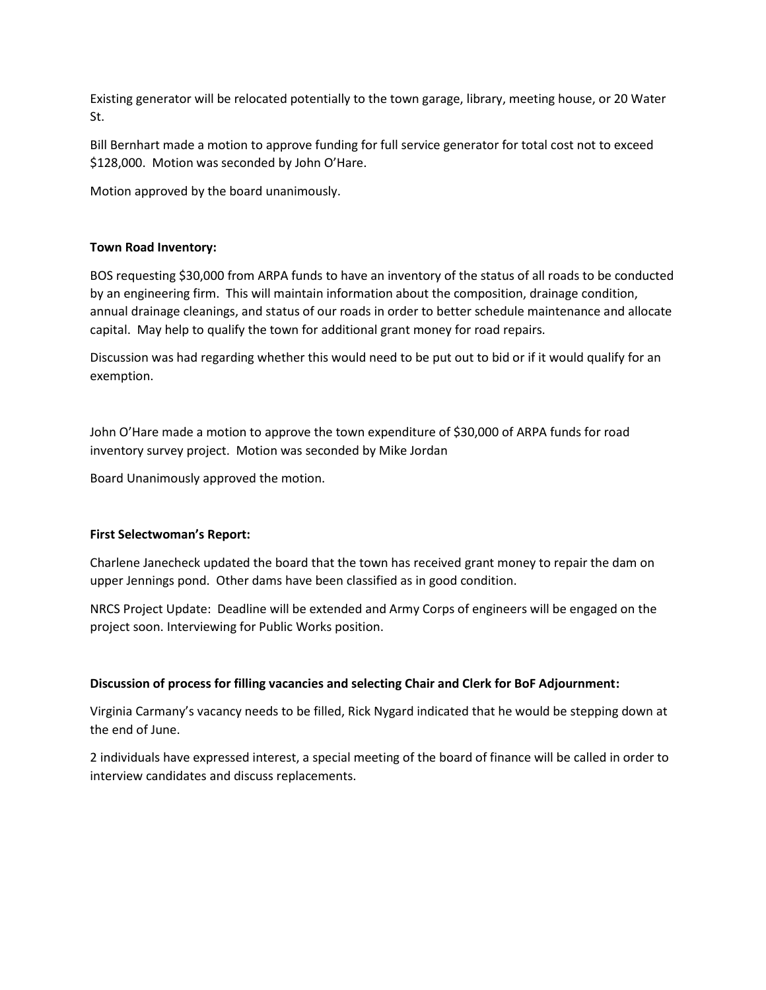Existing generator will be relocated potentially to the town garage, library, meeting house, or 20 Water St.

Bill Bernhart made a motion to approve funding for full service generator for total cost not to exceed \$128,000. Motion was seconded by John O'Hare.

Motion approved by the board unanimously.

# **Town Road Inventory:**

BOS requesting \$30,000 from ARPA funds to have an inventory of the status of all roads to be conducted by an engineering firm. This will maintain information about the composition, drainage condition, annual drainage cleanings, and status of our roads in order to better schedule maintenance and allocate capital. May help to qualify the town for additional grant money for road repairs.

Discussion was had regarding whether this would need to be put out to bid or if it would qualify for an exemption.

John O'Hare made a motion to approve the town expenditure of \$30,000 of ARPA funds for road inventory survey project. Motion was seconded by Mike Jordan

Board Unanimously approved the motion.

# **First Selectwoman's Report:**

Charlene Janecheck updated the board that the town has received grant money to repair the dam on upper Jennings pond. Other dams have been classified as in good condition.

NRCS Project Update: Deadline will be extended and Army Corps of engineers will be engaged on the project soon. Interviewing for Public Works position.

# **Discussion of process for filling vacancies and selecting Chair and Clerk for BoF Adjournment:**

Virginia Carmany's vacancy needs to be filled, Rick Nygard indicated that he would be stepping down at the end of June.

2 individuals have expressed interest, a special meeting of the board of finance will be called in order to interview candidates and discuss replacements.